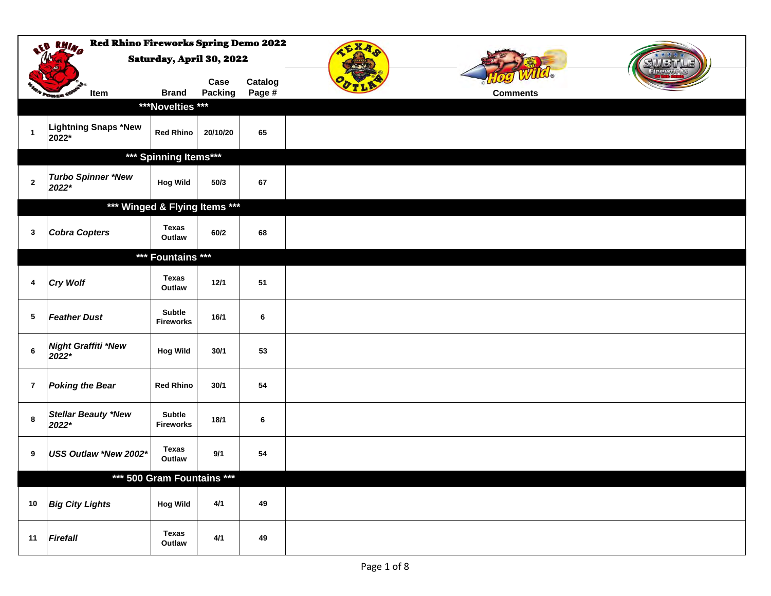|                | <b>Red Rhino Fireworks Spring Demo 2022</b><br><b>RAINA</b> | Saturday, April 30, 2022         |                 |                   | <b>GXA</b>      |  |
|----------------|-------------------------------------------------------------|----------------------------------|-----------------|-------------------|-----------------|--|
|                | Item<br><b><i><u>Count</u></i></b>                          | <b>Brand</b><br>***Novelties *** | Case<br>Packing | Catalog<br>Page # | <b>Comments</b> |  |
| $\mathbf{1}$   | Lightning Snaps *New<br>2022*                               | <b>Red Rhino</b>                 | 20/10/20        | 65                |                 |  |
|                |                                                             | *** Spinning Items***            |                 |                   |                 |  |
| $\mathbf{2}$   | <b>Turbo Spinner *New</b><br>2022*                          | <b>Hog Wild</b>                  | 50/3            | 67                |                 |  |
|                |                                                             | *** Winged & Flying Items ***    |                 |                   |                 |  |
| $\mathbf{3}$   | <b>Cobra Copters</b>                                        | <b>Texas</b><br>Outlaw           | 60/2            | 68                |                 |  |
|                |                                                             | *** Fountains ***                |                 |                   |                 |  |
| 4              | <b>Cry Wolf</b>                                             | <b>Texas</b><br>Outlaw           | 12/1            | 51                |                 |  |
| 5              | <b>Feather Dust</b>                                         | Subtle<br><b>Fireworks</b>       | 16/1            | 6                 |                 |  |
| $\bf 6$        | <b>Night Graffiti *New</b><br>2022*                         | <b>Hog Wild</b>                  | 30/1            | 53                |                 |  |
| $\overline{7}$ | <b>Poking the Bear</b>                                      | <b>Red Rhino</b>                 | 30/1            | 54                |                 |  |
| 8              | <b>Stellar Beauty *New</b><br>2022*                         | Subtle<br><b>Fireworks</b>       | 18/1            | 6                 |                 |  |
| 9              | USS Outlaw *New 2002*                                       | Texas<br>Outlaw                  | 9/1             | 54                |                 |  |
|                |                                                             | *** 500 Gram Fountains ***       |                 |                   |                 |  |
| 10             | <b>Big City Lights</b>                                      | <b>Hog Wild</b>                  | 4/1             | 49                |                 |  |
| 11             | Firefall                                                    | <b>Texas</b><br>Outlaw           | $4/1$           | 49                |                 |  |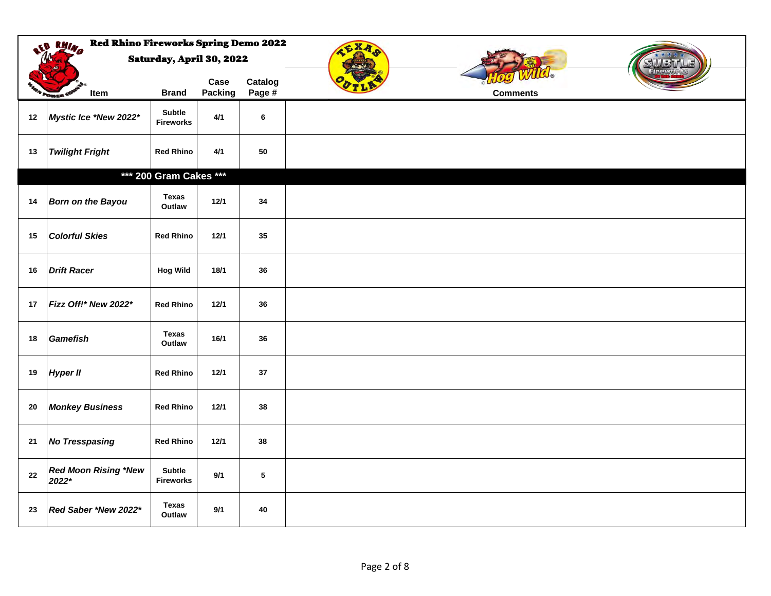|    | <b>Red Rhino Fireworks Spring Demo 2022</b><br>LD RHIND |                            |                 |                   | <b>CXA</b>      |
|----|---------------------------------------------------------|----------------------------|-----------------|-------------------|-----------------|
|    |                                                         | Saturday, April 30, 2022   |                 |                   |                 |
|    | Item<br><b>STATE</b>                                    | <b>Brand</b>               | Case<br>Packing | Catalog<br>Page # | <b>Comments</b> |
| 12 | Mystic Ice *New 2022*                                   | Subtle<br><b>Fireworks</b> | $4/1$           | 6                 |                 |
| 13 | <b>Twilight Fright</b>                                  | <b>Red Rhino</b>           | 4/1             | 50                |                 |
|    |                                                         | *** 200 Gram Cakes ***     |                 |                   |                 |
| 14 | <b>Born on the Bayou</b>                                | <b>Texas</b><br>Outlaw     | 12/1            | 34                |                 |
| 15 | <b>Colorful Skies</b>                                   | <b>Red Rhino</b>           | 12/1            | 35                |                 |
| 16 | <b>Drift Racer</b>                                      | <b>Hog Wild</b>            | 18/1            | 36                |                 |
| 17 | Fizz Off!* New 2022*                                    | <b>Red Rhino</b>           | 12/1            | 36                |                 |
| 18 | <b>Gamefish</b>                                         | Texas<br>Outlaw            | 16/1            | 36                |                 |
| 19 | <b>Hyper II</b>                                         | <b>Red Rhino</b>           | 12/1            | 37                |                 |
| 20 | <b>Monkey Business</b>                                  | <b>Red Rhino</b>           | 12/1            | 38                |                 |
| 21 | <b>No Tresspasing</b>                                   | <b>Red Rhino</b>           | 12/1            | 38                |                 |
| 22 | <b>Red Moon Rising *New</b><br>2022*                    | Subtle<br><b>Fireworks</b> | 9/1             | $5\phantom{.0}$   |                 |
| 23 | Red Saber *New 2022*                                    | <b>Texas</b><br>Outlaw     | 9/1             | 40                |                 |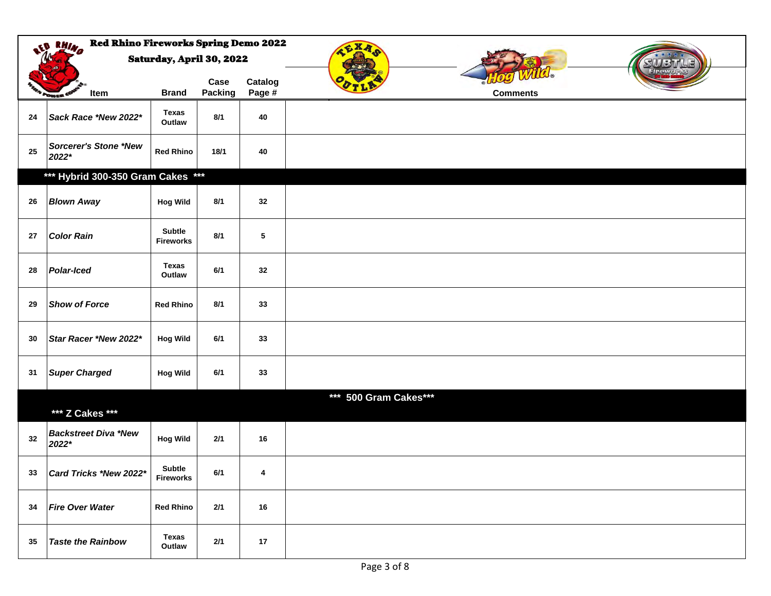|    | <b>Red Rhino Fireworks Spring Demo 2022</b><br>at BHIND |                            |                 |                   | <b>CXA</b>            |
|----|---------------------------------------------------------|----------------------------|-----------------|-------------------|-----------------------|
|    |                                                         | Saturday, April 30, 2022   |                 |                   |                       |
|    | Item<br>Pousik <sup>C</sup>                             | <b>Brand</b>               | Case<br>Packing | Catalog<br>Page # | <b>Comments</b>       |
| 24 | Sack Race *New 2022*                                    | <b>Texas</b><br>Outlaw     | 8/1             | 40                |                       |
| 25 | Sorcerer's Stone *New<br>2022*                          | <b>Red Rhino</b>           | 18/1            | 40                |                       |
|    | *** Hybrid 300-350 Gram Cakes ***                       |                            |                 |                   |                       |
| 26 | <b>Blown Away</b>                                       | <b>Hog Wild</b>            | 8/1             | 32                |                       |
| 27 | <b>Color Rain</b>                                       | Subtle<br><b>Fireworks</b> | 8/1             | $\sqrt{5}$        |                       |
| 28 | <b>Polar-Iced</b>                                       | Texas<br>Outlaw            | 6/1             | 32                |                       |
| 29 | <b>Show of Force</b>                                    | <b>Red Rhino</b>           | 8/1             | 33                |                       |
| 30 | Star Racer *New 2022*                                   | <b>Hog Wild</b>            | 6/1             | 33                |                       |
| 31 | <b>Super Charged</b>                                    | <b>Hog Wild</b>            | 6/1             | 33                |                       |
|    |                                                         |                            |                 |                   | *** 500 Gram Cakes*** |
|    | *** Z Cakes ***                                         |                            |                 |                   |                       |
| 32 | <b>Backstreet Diva *New</b><br>2022*                    | <b>Hog Wild</b>            | $2/1$           | 16                |                       |
| 33 | Card Tricks *New 2022*                                  | Subtle<br><b>Fireworks</b> | 6/1             | 4                 |                       |
| 34 | <b>Fire Over Water</b>                                  | <b>Red Rhino</b>           | 2/1             | 16                |                       |
| 35 | <b>Taste the Rainbow</b>                                | Texas<br>Outlaw            | $2/1$           | 17                |                       |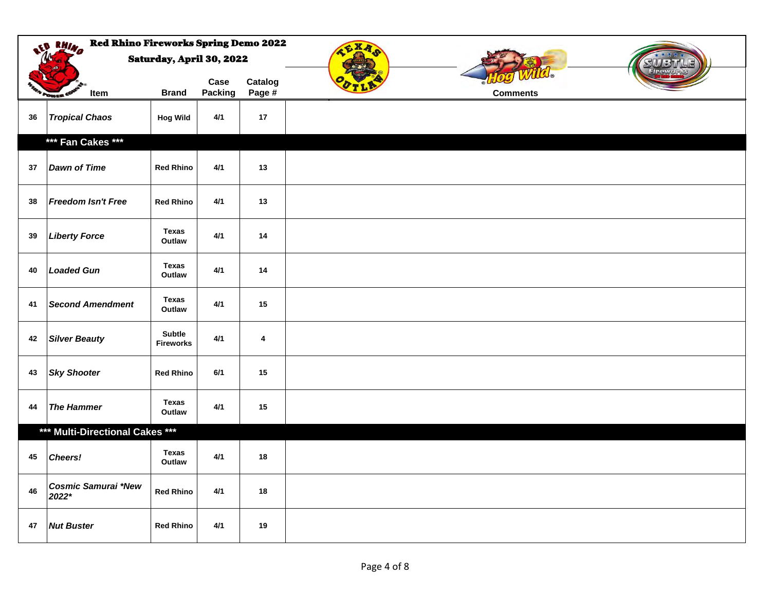|    | <b>Red Rhino Fireworks Spring Demo 2022</b><br>at BHIND<br>CXA |                                   |                 |                   |                 |  |  |  |  |
|----|----------------------------------------------------------------|-----------------------------------|-----------------|-------------------|-----------------|--|--|--|--|
|    |                                                                | <b>Saturday, April 30, 2022</b>   |                 |                   | الذق المال      |  |  |  |  |
|    | Item                                                           | <b>Brand</b>                      | Case<br>Packing | Catalog<br>Page # | <b>Comments</b> |  |  |  |  |
| 36 | <b>Tropical Chaos</b>                                          | <b>Hog Wild</b>                   | 4/1             | 17                |                 |  |  |  |  |
|    | *** Fan Cakes ***                                              |                                   |                 |                   |                 |  |  |  |  |
| 37 | <b>Dawn of Time</b>                                            | <b>Red Rhino</b>                  | 4/1             | 13                |                 |  |  |  |  |
| 38 | Freedom Isn't Free                                             | <b>Red Rhino</b>                  | 4/1             | 13                |                 |  |  |  |  |
| 39 | <b>Liberty Force</b>                                           | Texas<br>Outlaw                   | 4/1             | $14$              |                 |  |  |  |  |
| 40 | <b>Loaded Gun</b>                                              | Texas<br>Outlaw                   | 4/1             | 14                |                 |  |  |  |  |
| 41 | <b>Second Amendment</b>                                        | Texas<br>Outlaw                   | 4/1             | 15                |                 |  |  |  |  |
| 42 | <b>Silver Beauty</b>                                           | <b>Subtle</b><br><b>Fireworks</b> | 4/1             | 4                 |                 |  |  |  |  |
| 43 | <b>Sky Shooter</b>                                             | <b>Red Rhino</b>                  | 6/1             | 15                |                 |  |  |  |  |
| 44 | <b>The Hammer</b>                                              | Texas<br>Outlaw                   | 4/1             | 15                |                 |  |  |  |  |
|    | *** Multi-Directional Cakes ***                                |                                   |                 |                   |                 |  |  |  |  |
| 45 | <b>Cheers!</b>                                                 | <b>Texas</b><br>Outlaw            | 4/1             | $18\,$            |                 |  |  |  |  |
| 46 | <b>Cosmic Samurai *New</b><br>2022*                            | <b>Red Rhino</b>                  | 4/1             | $18\,$            |                 |  |  |  |  |
| 47 | <b>Nut Buster</b>                                              | <b>Red Rhino</b>                  | 4/1             | 19                |                 |  |  |  |  |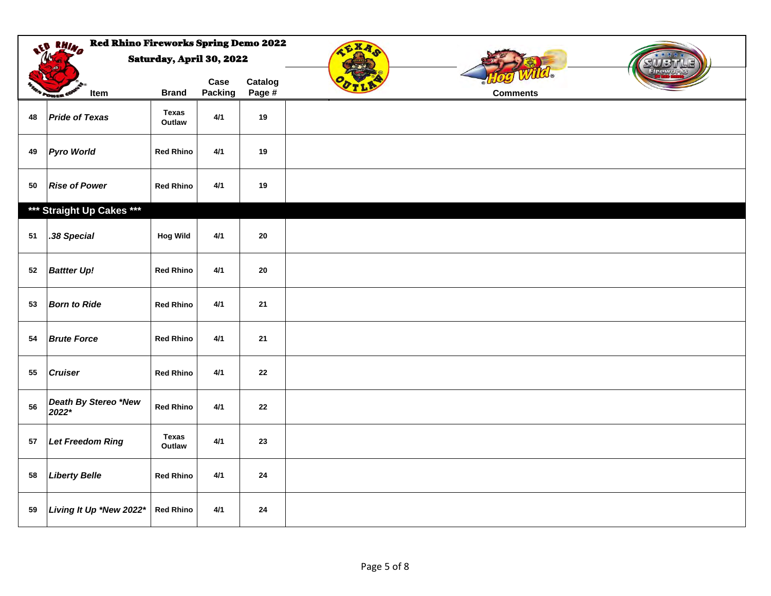|            | <b>Red Rhino Fireworks Spring Demo 2022</b><br>at BHIND |                          |                 |                   | CXA |                 |
|------------|---------------------------------------------------------|--------------------------|-----------------|-------------------|-----|-----------------|
|            |                                                         | Saturday, April 30, 2022 |                 |                   |     |                 |
|            | Item<br><b>Power</b>                                    | <b>Brand</b>             | Case<br>Packing | Catalog<br>Page # |     | <b>Comments</b> |
| 48         | <b>Pride of Texas</b>                                   | <b>Texas</b><br>Outlaw   | 4/1             | 19                |     |                 |
| 49         | <b>Pyro World</b>                                       | <b>Red Rhino</b>         | 4/1             | 19                |     |                 |
| 50         | <b>Rise of Power</b>                                    | <b>Red Rhino</b>         | 4/1             | 19                |     |                 |
|            | *** Straight Up Cakes ***                               |                          |                 |                   |     |                 |
| 51         | .38 Special                                             | <b>Hog Wild</b>          | 4/1             | ${\bf 20}$        |     |                 |
| 52         | <b>Battter Up!</b>                                      | <b>Red Rhino</b>         | 4/1             | ${\bf 20}$        |     |                 |
| 53         | <b>Born to Ride</b>                                     | <b>Red Rhino</b>         | 4/1             | 21                |     |                 |
| 54         | <b>Brute Force</b>                                      | <b>Red Rhino</b>         | 4/1             | 21                |     |                 |
| 55         | <b>Cruiser</b>                                          | <b>Red Rhino</b>         | 4/1             | 22                |     |                 |
| 56         | Death By Stereo *New<br>2022*                           | <b>Red Rhino</b>         | 4/1             | 22                |     |                 |
| ${\bf 57}$ | Let Freedom Ring                                        | Texas<br>Outlaw          | 4/1             | 23                |     |                 |
| 58         | <b>Liberty Belle</b>                                    | <b>Red Rhino</b>         | 4/1             | 24                |     |                 |
| 59         | Living It Up *New 2022*                                 | <b>Red Rhino</b>         | 4/1             | 24                |     |                 |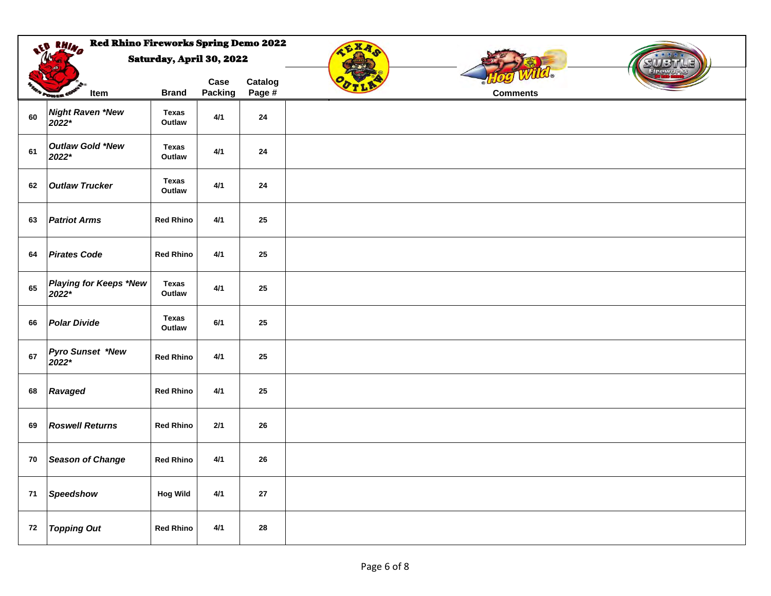|            | <b>Red Rhino Fireworks Spring Demo 2022</b><br>LED RHINA |                          |                 |                   | CXA             |  |
|------------|----------------------------------------------------------|--------------------------|-----------------|-------------------|-----------------|--|
|            |                                                          | Saturday, April 30, 2022 |                 |                   |                 |  |
|            | Item<br><b>POWER O</b>                                   | <b>Brand</b>             | Case<br>Packing | Catalog<br>Page # | <b>Comments</b> |  |
| 60         | <b>Night Raven *New</b><br>2022*                         | <b>Texas</b><br>Outlaw   | 4/1             | ${\bf 24}$        |                 |  |
| 61         | Outlaw Gold *New<br>2022*                                | Texas<br>Outlaw          | 4/1             | 24                |                 |  |
| 62         | <b>Outlaw Trucker</b>                                    | <b>Texas</b><br>Outlaw   | 4/1             | 24                |                 |  |
| 63         | <b>Patriot Arms</b>                                      | <b>Red Rhino</b>         | 4/1             | 25                |                 |  |
| 64         | <b>Pirates Code</b>                                      | <b>Red Rhino</b>         | 4/1             | 25                |                 |  |
| 65         | <b>Playing for Keeps *New</b><br>2022*                   | Texas<br>Outlaw          | 4/1             | 25                |                 |  |
| 66         | <b>Polar Divide</b>                                      | <b>Texas</b><br>Outlaw   | 6/1             | 25                |                 |  |
| 67         | <b>Pyro Sunset *New</b><br>2022*                         | <b>Red Rhino</b>         | 4/1             | 25                |                 |  |
| 68         | Ravaged                                                  | <b>Red Rhino</b>         | 4/1             | 25                |                 |  |
| 69         | <b>Roswell Returns</b>                                   | <b>Red Rhino</b>         | $2/1$           | 26                |                 |  |
| 70         | <b>Season of Change</b>                                  | <b>Red Rhino</b>         | 4/1             | 26                |                 |  |
| 71         | Speedshow                                                | <b>Hog Wild</b>          | $4/1$           | ${\bf 27}$        |                 |  |
| ${\bf 72}$ | <b>Topping Out</b>                                       | <b>Red Rhino</b>         | $4/1$           | ${\bf 28}$        |                 |  |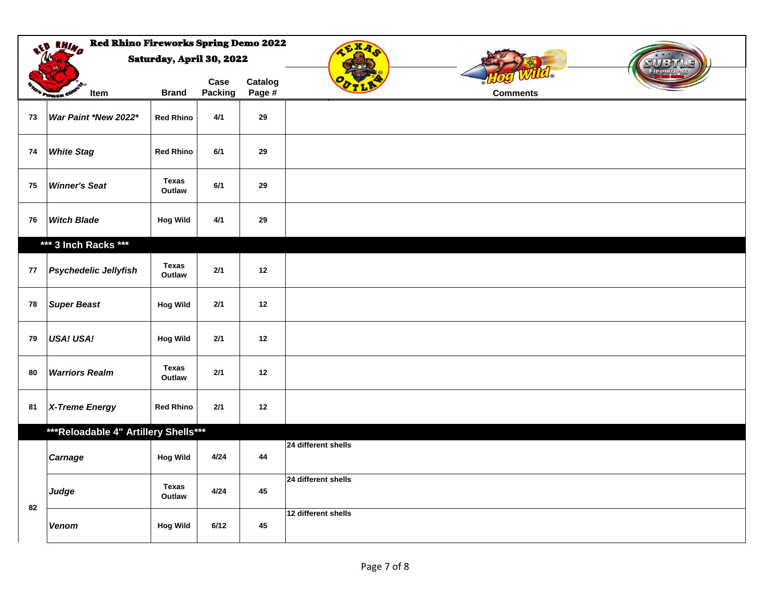|    | <b>Red Rhino Fireworks Spring Demo 2022</b><br>LE RHINA |                        |                 |                   | CXA                 |
|----|---------------------------------------------------------|------------------------|-----------------|-------------------|---------------------|
|    | Saturday, April 30, 2022                                |                        |                 |                   |                     |
|    | Item                                                    | <b>Brand</b>           | Case<br>Packing | Catalog<br>Page # | <b>Comments</b>     |
| 73 | War Paint *New 2022*                                    | <b>Red Rhino</b>       | 4/1             | 29                |                     |
| 74 | <b>White Stag</b>                                       | <b>Red Rhino</b>       | 6/1             | 29                |                     |
| 75 | <b>Winner's Seat</b>                                    | <b>Texas</b><br>Outlaw | 6/1             | 29                |                     |
| 76 | <b>Witch Blade</b>                                      | <b>Hog Wild</b>        | 4/1             | 29                |                     |
|    | *** 3 Inch Racks ***                                    |                        |                 |                   |                     |
| 77 | <b>Psychedelic Jellyfish</b>                            | <b>Texas</b><br>Outlaw | $2/1$           | 12                |                     |
| 78 | <b>Super Beast</b>                                      | <b>Hog Wild</b>        | 2/1             | 12                |                     |
| 79 | <b>USA! USA!</b>                                        | <b>Hog Wild</b>        | 2/1             | 12                |                     |
| 80 | <b>Warriors Realm</b>                                   | <b>Texas</b><br>Outlaw | 2/1             | 12                |                     |
| 81 | X-Treme Energy                                          | <b>Red Rhino</b>       | 2/1             | 12                |                     |
|    | *** Reloadable 4" Artillery Shells***                   |                        |                 |                   |                     |
|    | <b>Carnage</b>                                          | <b>Hog Wild</b>        | 4/24            | 44                | 24 different shells |
|    | Judge                                                   | <b>Texas</b><br>Outlaw | 4/24            | 45                | 24 different shells |
| 82 | Venom                                                   | <b>Hog Wild</b>        | 6/12            | 45                | 12 different shells |